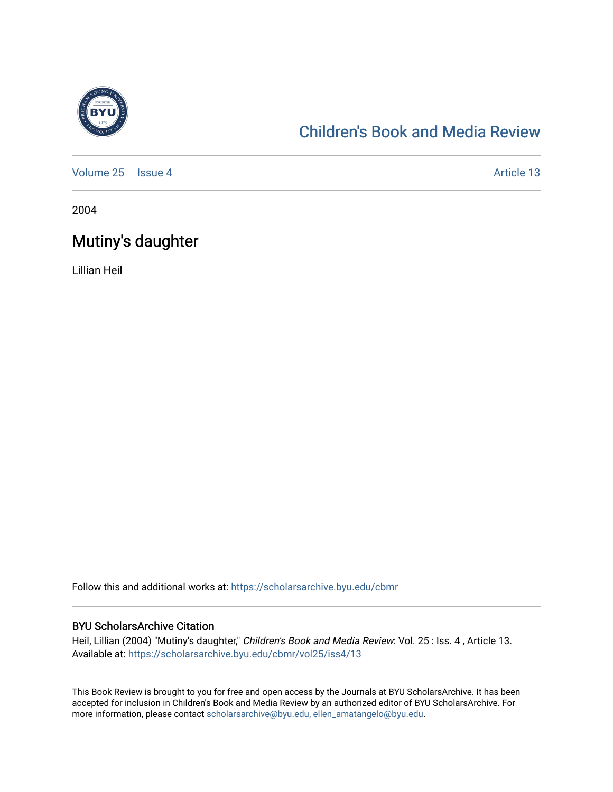

## [Children's Book and Media Review](https://scholarsarchive.byu.edu/cbmr)

[Volume 25](https://scholarsarchive.byu.edu/cbmr/vol25) | [Issue 4](https://scholarsarchive.byu.edu/cbmr/vol25/iss4) Article 13

2004

## Mutiny's daughter

Lillian Heil

Follow this and additional works at: [https://scholarsarchive.byu.edu/cbmr](https://scholarsarchive.byu.edu/cbmr?utm_source=scholarsarchive.byu.edu%2Fcbmr%2Fvol25%2Fiss4%2F13&utm_medium=PDF&utm_campaign=PDFCoverPages) 

## BYU ScholarsArchive Citation

Heil, Lillian (2004) "Mutiny's daughter," Children's Book and Media Review: Vol. 25 : Iss. 4 , Article 13. Available at: [https://scholarsarchive.byu.edu/cbmr/vol25/iss4/13](https://scholarsarchive.byu.edu/cbmr/vol25/iss4/13?utm_source=scholarsarchive.byu.edu%2Fcbmr%2Fvol25%2Fiss4%2F13&utm_medium=PDF&utm_campaign=PDFCoverPages)

This Book Review is brought to you for free and open access by the Journals at BYU ScholarsArchive. It has been accepted for inclusion in Children's Book and Media Review by an authorized editor of BYU ScholarsArchive. For more information, please contact [scholarsarchive@byu.edu, ellen\\_amatangelo@byu.edu.](mailto:scholarsarchive@byu.edu,%20ellen_amatangelo@byu.edu)